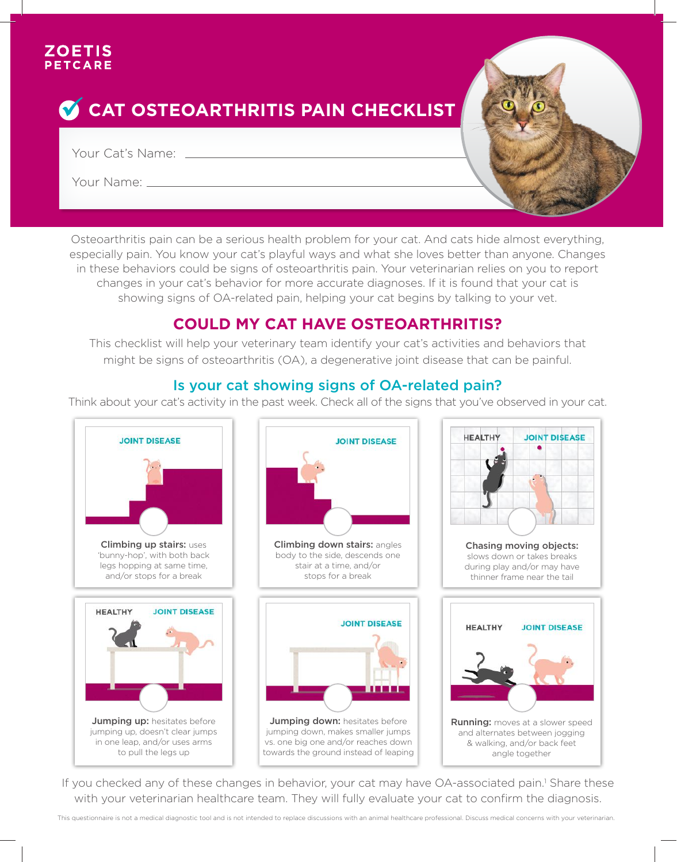#### **ZOETIS** PETCARE

# **CAT OSTEOARTHRITIS PAIN CHECKLIST**

Your Cat's Name: Name: Name State And Allen And Allen And Allen And Allen And Allen And Allen And Allen And Allen

Your Name:



Osteoarthritis pain can be a serious health problem for your cat. And cats hide almost everything, especially pain. You know your cat's playful ways and what she loves better than anyone. Changes in these behaviors could be signs of osteoarthritis pain. Your veterinarian relies on you to report changes in your cat's behavior for more accurate diagnoses. If it is found that your cat is showing signs of OA-related pain, helping your cat begins by talking to your vet.

# **COULD MY CAT HAVE OSTEOARTHRITIS?**

This checklist will help your veterinary team identify your cat's activities and behaviors that might be signs of osteoarthritis (OA), a degenerative joint disease that can be painful.

# Is your cat showing signs of OA-related pain?

Think about your cat's activity in the past week. Check all of the signs that you've observed in your cat.



If you checked any of these changes in behavior, your cat may have OA-associated pain.<sup>1</sup> Share these with your veterinarian healthcare team. They will fully evaluate your cat to confirm the diagnosis.